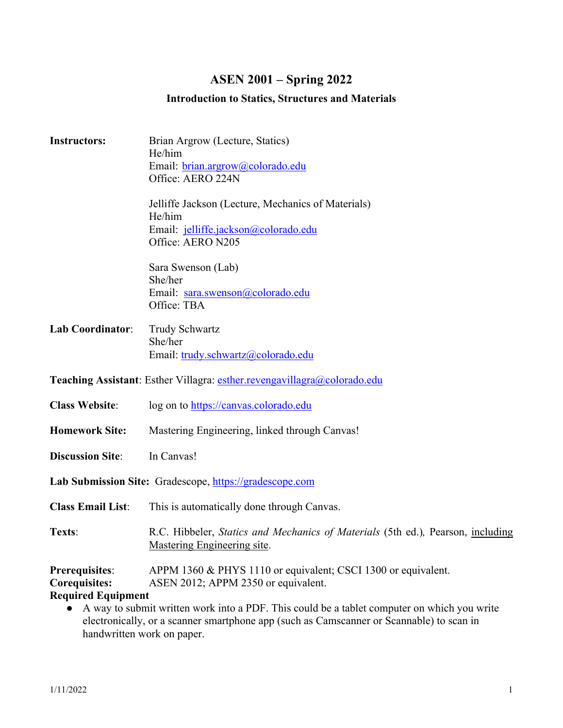# **ASEN 2001 – Spring 2022**

# **Introduction to Statics, Structures and Materials**

| <b>Instructors:</b>                                                                         | Brian Argrow (Lecture, Statics)<br>He/him                                       |  |  |
|---------------------------------------------------------------------------------------------|---------------------------------------------------------------------------------|--|--|
|                                                                                             | Email: brian.argrow@colorado.edu                                                |  |  |
|                                                                                             | Office: AERO 224N                                                               |  |  |
|                                                                                             |                                                                                 |  |  |
|                                                                                             | Jelliffe Jackson (Lecture, Mechanics of Materials)                              |  |  |
|                                                                                             | He/him                                                                          |  |  |
|                                                                                             | Email: jelliffe.jackson@colorado.edu                                            |  |  |
|                                                                                             | Office: AERO N205                                                               |  |  |
|                                                                                             | Sara Swenson (Lab)                                                              |  |  |
|                                                                                             | She/her                                                                         |  |  |
|                                                                                             | Email: sara.swenson@colorado.edu                                                |  |  |
|                                                                                             | Office: TBA                                                                     |  |  |
| <b>Lab Coordinator:</b>                                                                     | <b>Trudy Schwartz</b>                                                           |  |  |
|                                                                                             | She/her                                                                         |  |  |
|                                                                                             | Email: trudy.schwartz@colorado.edu                                              |  |  |
|                                                                                             |                                                                                 |  |  |
| Teaching Assistant: Esther Villagra: esther.revengavillagra@colorado.edu                    |                                                                                 |  |  |
| <b>Class Website:</b>                                                                       | log on to https://canvas.colorado.edu                                           |  |  |
|                                                                                             |                                                                                 |  |  |
| <b>Homework Site:</b>                                                                       | Mastering Engineering, linked through Canvas!                                   |  |  |
| <b>Discussion Site:</b>                                                                     | In Canvas!                                                                      |  |  |
|                                                                                             |                                                                                 |  |  |
| Lab Submission Site: Gradescope, https://gradescope.com                                     |                                                                                 |  |  |
| <b>Class Email List:</b>                                                                    | This is automatically done through Canvas.                                      |  |  |
|                                                                                             |                                                                                 |  |  |
| Texts:                                                                                      | R.C. Hibbeler, Statics and Mechanics of Materials (5th ed.), Pearson, including |  |  |
|                                                                                             | <b>Mastering Engineering site.</b>                                              |  |  |
| Prerequisites:                                                                              | APPM 1360 & PHYS 1110 or equivalent; CSCI 1300 or equivalent.                   |  |  |
| <b>Corequisites:</b>                                                                        | ASEN 2012; APPM 2350 or equivalent.                                             |  |  |
| <b>Required Equipment</b>                                                                   |                                                                                 |  |  |
| A way to submit written work into a PDF. This could be a tablet computer on which you write |                                                                                 |  |  |
| electronically, or a scanner smartphone app (such as Camscanner or Scannable) to scan in    |                                                                                 |  |  |

handwritten work on paper.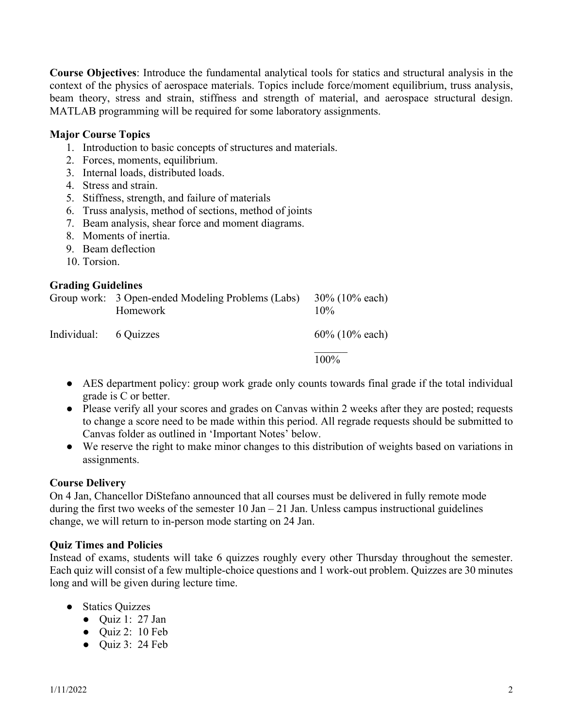**Course Objectives**: Introduce the fundamental analytical tools for statics and structural analysis in the context of the physics of aerospace materials. Topics include force/moment equilibrium, truss analysis, beam theory, stress and strain, stiffness and strength of material, and aerospace structural design. MATLAB programming will be required for some laboratory assignments.

# **Major Course Topics**

- 1. Introduction to basic concepts of structures and materials.
- 2. Forces, moments, equilibrium.
- 3. Internal loads, distributed loads.
- 4. Stress and strain.
- 5. Stiffness, strength, and failure of materials
- 6. Truss analysis, method of sections, method of joints
- 7. Beam analysis, shear force and moment diagrams.
- 8. Moments of inertia.
- 9. Beam deflection
- 10. Torsion.

#### **Grading Guidelines**

|                       | Group work: 3 Open-ended Modeling Problems (Labs)<br>Homework | $30\%$ (10% each)<br>$10\%$ |
|-----------------------|---------------------------------------------------------------|-----------------------------|
| Individual: 6 Quizzes |                                                               | $60\%$ (10% each)           |
|                       |                                                               | $100\%$                     |

- AES department policy: group work grade only counts towards final grade if the total individual grade is C or better.
- Please verify all your scores and grades on Canvas within 2 weeks after they are posted; requests to change a score need to be made within this period. All regrade requests should be submitted to Canvas folder as outlined in 'Important Notes' below.
- We reserve the right to make minor changes to this distribution of weights based on variations in assignments.

# **Course Delivery**

On 4 Jan, Chancellor DiStefano announced that all courses must be delivered in fully remote mode during the first two weeks of the semester  $10$  Jan  $-21$  Jan. Unless campus instructional guidelines change, we will return to in-person mode starting on 24 Jan.

#### **Quiz Times and Policies**

Instead of exams, students will take 6 quizzes roughly every other Thursday throughout the semester. Each quiz will consist of a few multiple-choice questions and 1 work-out problem. Quizzes are 30 minutes long and will be given during lecture time.

- Statics Ouizzes
	- Quiz 1: 27 Jan
	- Quiz 2: 10 Feb
	- $\bullet$  Ouiz 3: 24 Feb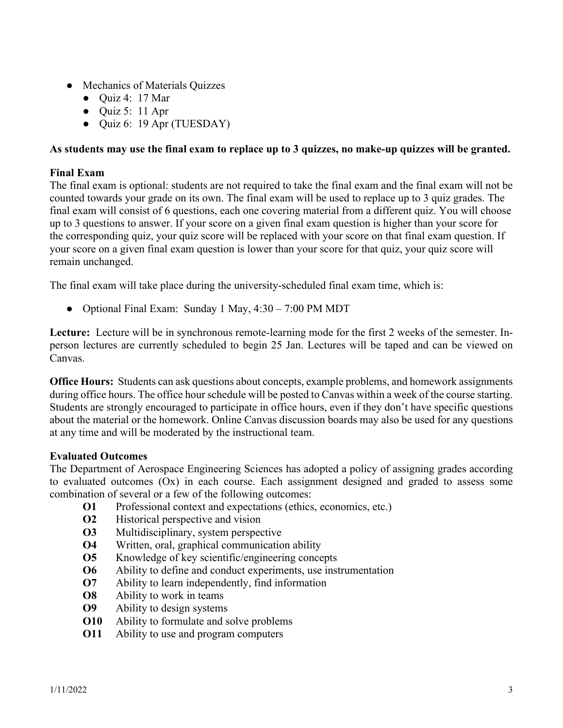- Mechanics of Materials Quizzes
	- $\bullet$  Quiz 4: 17 Mar
	- $\bullet$  Quiz 5: 11 Apr
	- Quiz 6: 19 Apr (TUESDAY)

# **As students may use the final exam to replace up to 3 quizzes, no make-up quizzes will be granted.**

#### **Final Exam**

The final exam is optional: students are not required to take the final exam and the final exam will not be counted towards your grade on its own. The final exam will be used to replace up to 3 quiz grades. The final exam will consist of 6 questions, each one covering material from a different quiz. You will choose up to 3 questions to answer. If your score on a given final exam question is higher than your score for the corresponding quiz, your quiz score will be replaced with your score on that final exam question. If your score on a given final exam question is lower than your score for that quiz, your quiz score will remain unchanged.

The final exam will take place during the university-scheduled final exam time, which is:

● Optional Final Exam: Sunday 1 May, 4:30 – 7:00 PM MDT

**Lecture:** Lecture will be in synchronous remote-learning mode for the first 2 weeks of the semester. Inperson lectures are currently scheduled to begin 25 Jan. Lectures will be taped and can be viewed on Canvas.

**Office Hours:** Students can ask questions about concepts, example problems, and homework assignments during office hours. The office hour schedule will be posted to Canvas within a week of the course starting. Students are strongly encouraged to participate in office hours, even if they don't have specific questions about the material or the homework. Online Canvas discussion boards may also be used for any questions at any time and will be moderated by the instructional team.

#### **Evaluated Outcomes**

The Department of Aerospace Engineering Sciences has adopted a policy of assigning grades according to evaluated outcomes (Ox) in each course. Each assignment designed and graded to assess some combination of several or a few of the following outcomes:

- **O1** Professional context and expectations (ethics, economics, etc.)
- **O2** Historical perspective and vision
- **O3** Multidisciplinary, system perspective
- **O4** Written, oral, graphical communication ability
- **O5** Knowledge of key scientific/engineering concepts
- **O6** Ability to define and conduct experiments, use instrumentation
- **O7** Ability to learn independently, find information
- **O8** Ability to work in teams
- **O9** Ability to design systems
- **O10** Ability to formulate and solve problems
- **O11** Ability to use and program computers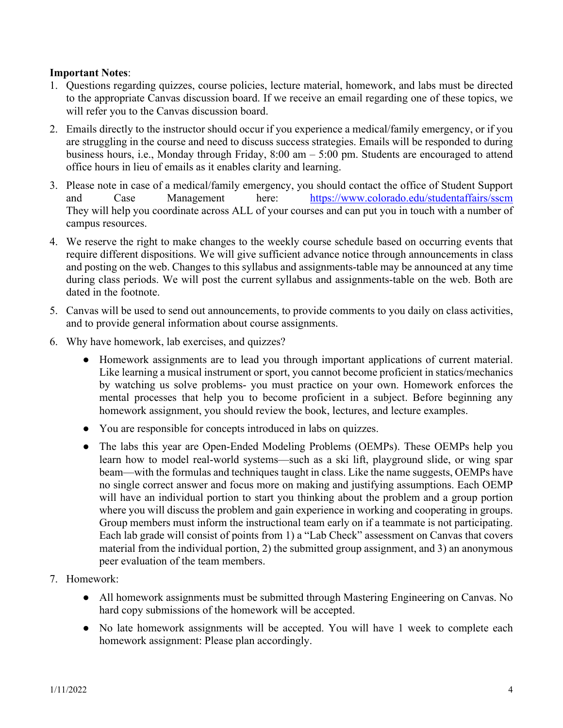# **Important Notes**:

- 1. Questions regarding quizzes, course policies, lecture material, homework, and labs must be directed to the appropriate Canvas discussion board. If we receive an email regarding one of these topics, we will refer you to the Canvas discussion board.
- 2. Emails directly to the instructor should occur if you experience a medical/family emergency, or if you are struggling in the course and need to discuss success strategies. Emails will be responded to during business hours, i.e., Monday through Friday, 8:00 am – 5:00 pm. Students are encouraged to attend office hours in lieu of emails as it enables clarity and learning.
- 3. Please note in case of a medical/family emergency, you should contact the office of Student Support and Case Management here: <https://www.colorado.edu/studentaffairs/sscm> They will help you coordinate across ALL of your courses and can put you in touch with a number of campus resources.
- 4. We reserve the right to make changes to the weekly course schedule based on occurring events that require different dispositions. We will give sufficient advance notice through announcements in class and posting on the web. Changes to this syllabus and assignments-table may be announced at any time during class periods. We will post the current syllabus and assignments-table on the web. Both are dated in the footnote.
- 5. Canvas will be used to send out announcements, to provide comments to you daily on class activities, and to provide general information about course assignments.
- 6. Why have homework, lab exercises, and quizzes?
	- Homework assignments are to lead you through important applications of current material. Like learning a musical instrument or sport, you cannot become proficient in statics/mechanics by watching us solve problems- you must practice on your own. Homework enforces the mental processes that help you to become proficient in a subject. Before beginning any homework assignment, you should review the book, lectures, and lecture examples.
	- You are responsible for concepts introduced in labs on quizzes.
	- The labs this year are Open-Ended Modeling Problems (OEMPs). These OEMPs help you learn how to model real-world systems—such as a ski lift, playground slide, or wing spar beam—with the formulas and techniques taught in class. Like the name suggests, OEMPs have no single correct answer and focus more on making and justifying assumptions. Each OEMP will have an individual portion to start you thinking about the problem and a group portion where you will discuss the problem and gain experience in working and cooperating in groups. Group members must inform the instructional team early on if a teammate is not participating. Each lab grade will consist of points from 1) a "Lab Check" assessment on Canvas that covers material from the individual portion, 2) the submitted group assignment, and 3) an anonymous peer evaluation of the team members.
- 7. Homework:
	- All homework assignments must be submitted through Mastering Engineering on Canvas. No hard copy submissions of the homework will be accepted.
	- No late homework assignments will be accepted. You will have 1 week to complete each homework assignment: Please plan accordingly.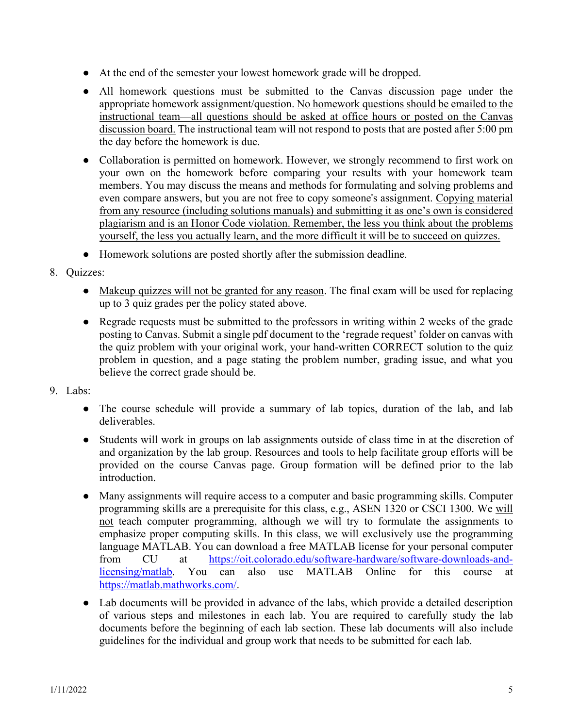- At the end of the semester your lowest homework grade will be dropped.
- All homework questions must be submitted to the Canvas discussion page under the appropriate homework assignment/question. No homework questions should be emailed to the instructional team—all questions should be asked at office hours or posted on the Canvas discussion board. The instructional team will not respond to posts that are posted after 5:00 pm the day before the homework is due.
- Collaboration is permitted on homework. However, we strongly recommend to first work on your own on the homework before comparing your results with your homework team members. You may discuss the means and methods for formulating and solving problems and even compare answers, but you are not free to copy someone's assignment. Copying material from any resource (including solutions manuals) and submitting it as one's own is considered plagiarism and is an Honor Code violation. Remember, the less you think about the problems yourself, the less you actually learn, and the more difficult it will be to succeed on quizzes.
- Homework solutions are posted shortly after the submission deadline.
- 8. Quizzes:
	- Makeup quizzes will not be granted for any reason. The final exam will be used for replacing up to 3 quiz grades per the policy stated above.
	- Regrade requests must be submitted to the professors in writing within 2 weeks of the grade posting to Canvas. Submit a single pdf document to the 'regrade request' folder on canvas with the quiz problem with your original work, your hand-written CORRECT solution to the quiz problem in question, and a page stating the problem number, grading issue, and what you believe the correct grade should be.
- 9. Labs:
	- The course schedule will provide a summary of lab topics, duration of the lab, and lab deliverables.
	- Students will work in groups on lab assignments outside of class time in at the discretion of and organization by the lab group. Resources and tools to help facilitate group efforts will be provided on the course Canvas page. Group formation will be defined prior to the lab introduction.
	- Many assignments will require access to a computer and basic programming skills. Computer programming skills are a prerequisite for this class, e.g., ASEN 1320 or CSCI 1300. We will not teach computer programming, although we will try to formulate the assignments to emphasize proper computing skills. In this class, we will exclusively use the programming language MATLAB. You can download a free MATLAB license for your personal computer from CU at [https://oit.colorado.edu/software-hardware/software-downloads-and](https://oit.colorado.edu/software-hardware/software-downloads-and-licensing/matlab)[licensing/matlab.](https://oit.colorado.edu/software-hardware/software-downloads-and-licensing/matlab) You can also use MATLAB Online for this course at [https://matlab.mathworks.com/.](https://matlab.mathworks.com/)
	- Lab documents will be provided in advance of the labs, which provide a detailed description of various steps and milestones in each lab. You are required to carefully study the lab documents before the beginning of each lab section. These lab documents will also include guidelines for the individual and group work that needs to be submitted for each lab.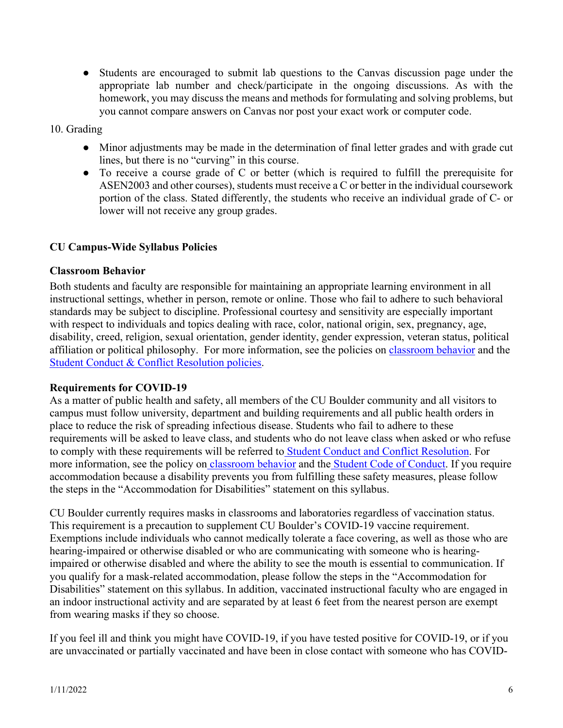● Students are encouraged to submit lab questions to the Canvas discussion page under the appropriate lab number and check/participate in the ongoing discussions. As with the homework, you may discuss the means and methods for formulating and solving problems, but you cannot compare answers on Canvas nor post your exact work or computer code.

#### 10. Grading

- Minor adjustments may be made in the determination of final letter grades and with grade cut lines, but there is no "curving" in this course.
- To receive a course grade of C or better (which is required to fulfill the prerequisite for ASEN2003 and other courses), students must receive a C or better in the individual coursework portion of the class. Stated differently, the students who receive an individual grade of C- or lower will not receive any group grades.

# **CU Campus-Wide Syllabus Policies**

#### **Classroom Behavior**

Both students and faculty are responsible for maintaining an appropriate learning environment in all instructional settings, whether in person, remote or online. Those who fail to adhere to such behavioral standards may be subject to discipline. Professional courtesy and sensitivity are especially important with respect to individuals and topics dealing with race, color, national origin, sex, pregnancy, age, disability, creed, religion, sexual orientation, gender identity, gender expression, veteran status, political affiliation or political philosophy. For more information, see the policies on [classroom behavior](http://www.colorado.edu/policies/student-classroom-and-course-related-behavior) and the [Student Conduct & Conflict Resolution policies.](https://www.colorado.edu/sccr/student-conduct)

#### **Requirements for COVID-19**

As a matter of public health and safety, all members of the CU Boulder community and all visitors to campus must follow university, department and building requirements and all public health orders in place to reduce the risk of spreading infectious disease. Students who fail to adhere to these requirements will be asked to leave class, and students who do not leave class when asked or who refuse to comply with these requirements will be referred to [Student Conduct and Conflict Resolution.](https://www.colorado.edu/sccr/) For more information, see the policy on [classroom behavior](http://www.colorado.edu/policies/student-classroom-and-course-related-behavior) and the [Student Code of Conduct.](http://www.colorado.edu/osccr/) If you require accommodation because a disability prevents you from fulfilling these safety measures, please follow the steps in the "Accommodation for Disabilities" statement on this syllabus.

CU Boulder currently requires masks in classrooms and laboratories regardless of vaccination status. This requirement is a precaution to supplement CU Boulder's COVID-19 vaccine requirement. Exemptions include individuals who cannot medically tolerate a face covering, as well as those who are hearing-impaired or otherwise disabled or who are communicating with someone who is hearingimpaired or otherwise disabled and where the ability to see the mouth is essential to communication. If you qualify for a mask-related accommodation, please follow the steps in the "Accommodation for Disabilities" statement on this syllabus. In addition, vaccinated instructional faculty who are engaged in an indoor instructional activity and are separated by at least 6 feet from the nearest person are exempt from wearing masks if they so choose.

If you feel ill and think you might have COVID-19, if you have tested positive for COVID-19, or if you are unvaccinated or partially vaccinated and have been in close contact with someone who has COVID-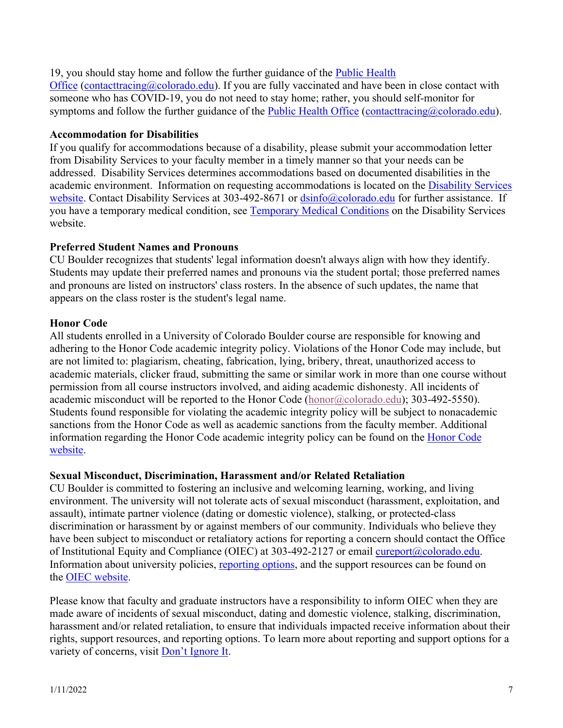# 19, you should stay home and follow the further guidance of the [Public Health](https://www.colorado.edu/health/public-health/quarantine-and-isolation)

[Office](https://www.colorado.edu/health/public-health/quarantine-and-isolation) [\(contacttracing@colorado.edu\)](mailto:contacttracing@colorado.edu). If you are fully vaccinated and have been in close contact with someone who has COVID-19, you do not need to stay home; rather, you should self-monitor for symptoms and follow the further guidance of the [Public Health Office](https://www.colorado.edu/health/public-health/quarantine-and-isolation) [\(contacttracing@colorado.edu\)](mailto:contacttracing@colorado.edu).

# **Accommodation for Disabilities**

If you qualify for accommodations because of a disability, please submit your accommodation letter from Disability Services to your faculty member in a timely manner so that your needs can be addressed. Disability Services determines accommodations based on documented disabilities in the academic environment. Information on requesting accommodations is located on the [Disability Services](https://www.colorado.edu/disabilityservices/)  [website.](https://www.colorado.edu/disabilityservices/) Contact Disability Services at 303-492-8671 or [dsinfo@colorado.edu](mailto:dsinfo@colorado.edu) for further assistance. If you have a temporary medical condition, see [Temporary Medical Conditions](http://www.colorado.edu/disabilityservices/students/temporary-medical-conditions) on the Disability Services website.

# **Preferred Student Names and Pronouns**

CU Boulder recognizes that students' legal information doesn't always align with how they identify. Students may update their preferred names and pronouns via the student portal; those preferred names and pronouns are listed on instructors' class rosters. In the absence of such updates, the name that appears on the class roster is the student's legal name.

# **Honor Code**

All students enrolled in a University of Colorado Boulder course are responsible for knowing and adhering to the Honor Code academic integrity policy. Violations of the Honor Code may include, but are not limited to: plagiarism, cheating, fabrication, lying, bribery, threat, unauthorized access to academic materials, clicker fraud, submitting the same or similar work in more than one course without permission from all course instructors involved, and aiding academic dishonesty. All incidents of academic misconduct will be reported to the Honor Code [\(honor@colorado.edu\)](mailto:honor@colorado.edu); 303-492-5550). Students found responsible for violating the academic integrity policy will be subject to nonacademic sanctions from the Honor Code as well as academic sanctions from the faculty member. Additional information regarding the Honor Code academic integrity policy can be found on the [Honor Code](https://www.colorado.edu/osccr/honor-code)  [website.](https://www.colorado.edu/osccr/honor-code)

# **Sexual Misconduct, Discrimination, Harassment and/or Related Retaliation**

CU Boulder is committed to fostering an inclusive and welcoming learning, working, and living environment. The university will not tolerate acts of sexual misconduct (harassment, exploitation, and assault), intimate partner violence (dating or domestic violence), stalking, or protected-class discrimination or harassment by or against members of our community. Individuals who believe they have been subject to misconduct or retaliatory actions for reporting a concern should contact the Office of Institutional Equity and Compliance (OIEC) at 303-492-2127 or email [cureport@colorado.edu.](mailto:cureport@colorado.edu) Information about university policies, [reporting options,](https://www.colorado.edu/oiec/reporting-resolutions/making-report) and the support resources can be found on the [OIEC website.](http://www.colorado.edu/institutionalequity/)

Please know that faculty and graduate instructors have a responsibility to inform OIEC when they are made aware of incidents of sexual misconduct, dating and domestic violence, stalking, discrimination, harassment and/or related retaliation, to ensure that individuals impacted receive information about their rights, support resources, and reporting options. To learn more about reporting and support options for a variety of concerns, visit [Don't Ignore It.](https://www.colorado.edu/dontignoreit/)